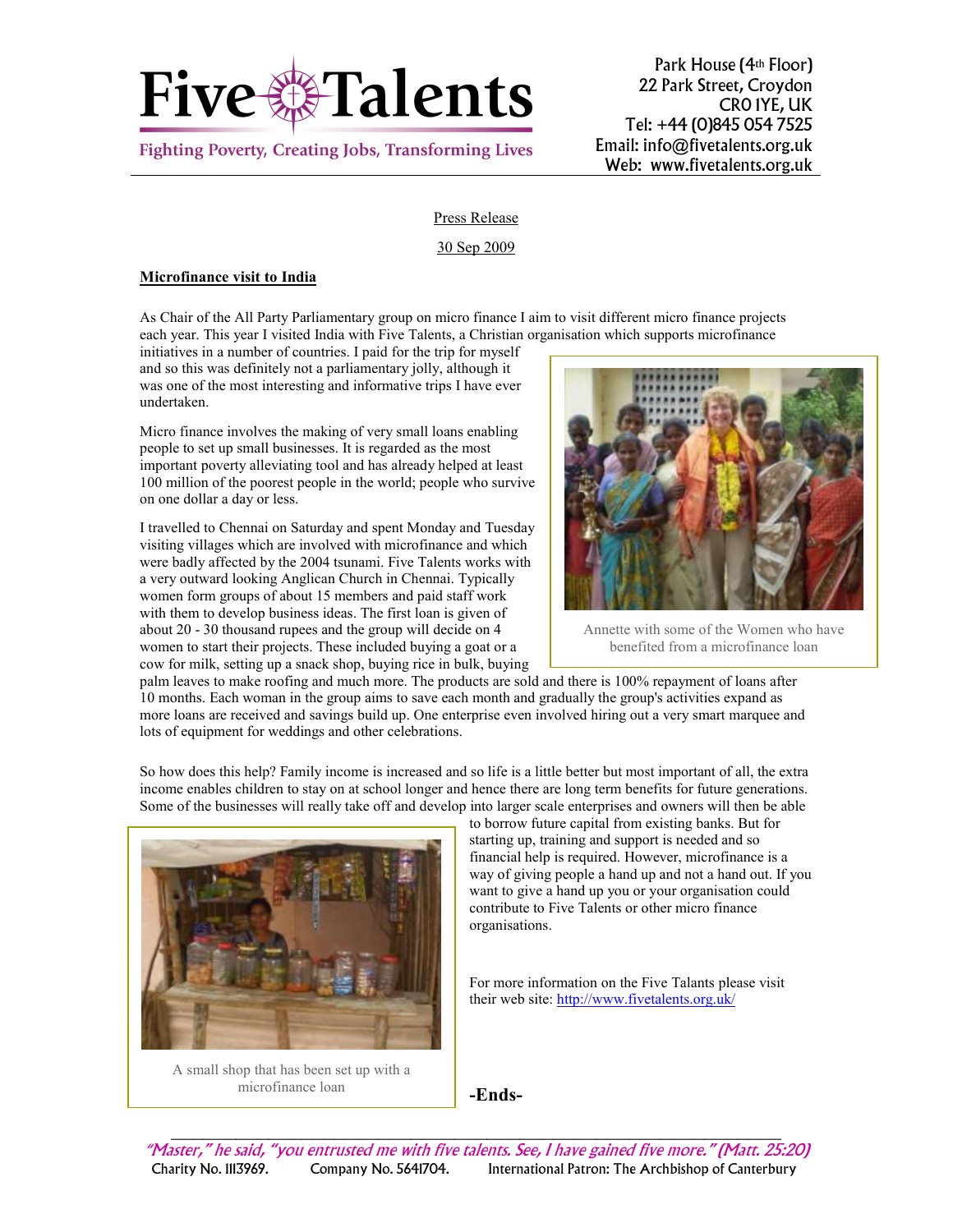

**Fighting Poverty, Creating Jobs, Transforming Lives** 

Park House (4th Floor) 22 Park Street, Croydon CR0 1YE, UK Tel: +44 (0)845 054 7525 Email: info@fivetalents.org.uk Web: www.fivetalents.org.uk

## Press Release

## 30 Sep 2009

## Microfinance visit to India

As Chair of the All Party Parliamentary group on micro finance I aim to visit different micro finance projects each year. This year I visited India with Five Talents, a Christian organisation which supports microfinance

initiatives in a number of countries. I paid for the trip for myself and so this was definitely not a parliamentary jolly, although it was one of the most interesting and informative trips I have ever undertaken.

Micro finance involves the making of very small loans enabling people to set up small businesses. It is regarded as the most important poverty alleviating tool and has already helped at least 100 million of the poorest people in the world; people who survive on one dollar a day or less.

I travelled to Chennai on Saturday and spent Monday and Tuesday visiting villages which are involved with microfinance and which were badly affected by the 2004 tsunami. Five Talents works with a very outward looking Anglican Church in Chennai. Typically women form groups of about 15 members and paid staff work with them to develop business ideas. The first loan is given of about 20 - 30 thousand rupees and the group will decide on 4 women to start their projects. These included buying a goat or a cow for milk, setting up a snack shop, buying rice in bulk, buying



Annette with some of the Women who have benefited from a microfinance loan

palm leaves to make roofing and much more. The products are sold and there is 100% repayment of loans after 10 months. Each woman in the group aims to save each month and gradually the group's activities expand as more loans are received and savings build up. One enterprise even involved hiring out a very smart marquee and lots of equipment for weddings and other celebrations.

So how does this help? Family income is increased and so life is a little better but most important of all, the extra income enables children to stay on at school longer and hence there are long term benefits for future generations. Some of the businesses will really take off and develop into larger scale enterprises and owners will then be able



A small shop that has been set up with a microfinance loan

to borrow future capital from existing banks. But for starting up, training and support is needed and so financial help is required. However, microfinance is a way of giving people a hand up and not a hand out. If you want to give a hand up you or your organisation could contribute to Five Talents or other micro finance organisations.

For more information on the Five Talants please visit their web site: http://www.fivetalents.org.uk/

-Ends-